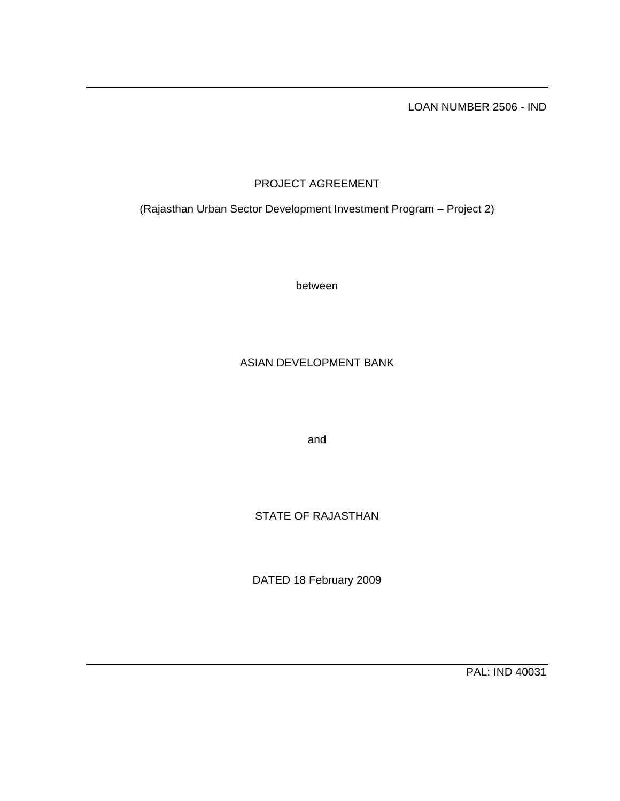LOAN NUMBER 2506 - IND

# PROJECT AGREEMENT

(Rajasthan Urban Sector Development Investment Program – Project 2)

between

## ASIAN DEVELOPMENT BANK

and

STATE OF RAJASTHAN

DATED 18 February 2009

PAL: IND 40031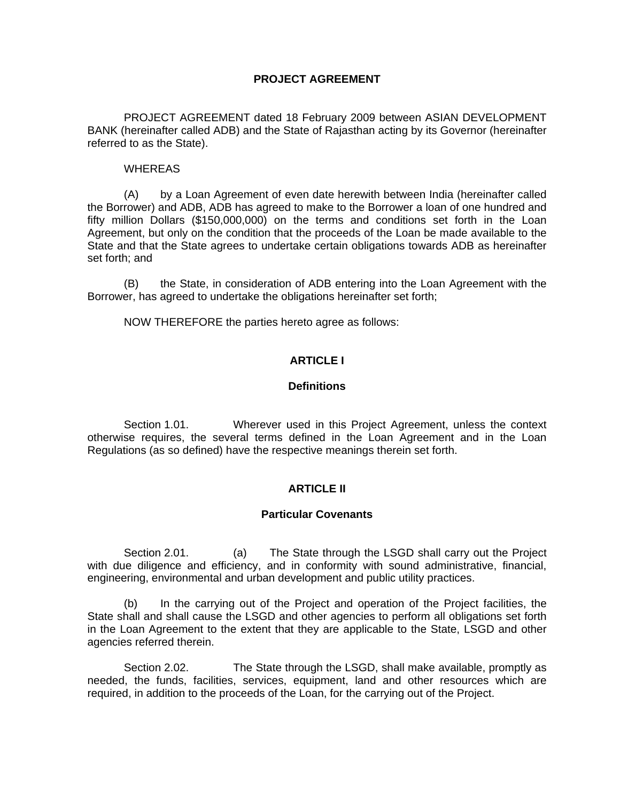### **PROJECT AGREEMENT**

 PROJECT AGREEMENT dated 18 February 2009 between ASIAN DEVELOPMENT BANK (hereinafter called ADB) and the State of Rajasthan acting by its Governor (hereinafter referred to as the State).

#### WHEREAS

 (A) by a Loan Agreement of even date herewith between India (hereinafter called the Borrower) and ADB, ADB has agreed to make to the Borrower a loan of one hundred and fifty million Dollars (\$150,000,000) on the terms and conditions set forth in the Loan Agreement, but only on the condition that the proceeds of the Loan be made available to the State and that the State agrees to undertake certain obligations towards ADB as hereinafter set forth; and

(B) the State, in consideration of ADB entering into the Loan Agreement with the Borrower, has agreed to undertake the obligations hereinafter set forth;

NOW THEREFORE the parties hereto agree as follows:

### **ARTICLE I**

#### **Definitions**

 Section 1.01. Wherever used in this Project Agreement, unless the context otherwise requires, the several terms defined in the Loan Agreement and in the Loan Regulations (as so defined) have the respective meanings therein set forth.

#### **ARTICLE II**

#### **Particular Covenants**

Section 2.01. (a) The State through the LSGD shall carry out the Project with due diligence and efficiency, and in conformity with sound administrative, financial, engineering, environmental and urban development and public utility practices.

 (b) In the carrying out of the Project and operation of the Project facilities, the State shall and shall cause the LSGD and other agencies to perform all obligations set forth in the Loan Agreement to the extent that they are applicable to the State, LSGD and other agencies referred therein.

Section 2.02. The State through the LSGD, shall make available, promptly as needed, the funds, facilities, services, equipment, land and other resources which are required, in addition to the proceeds of the Loan, for the carrying out of the Project.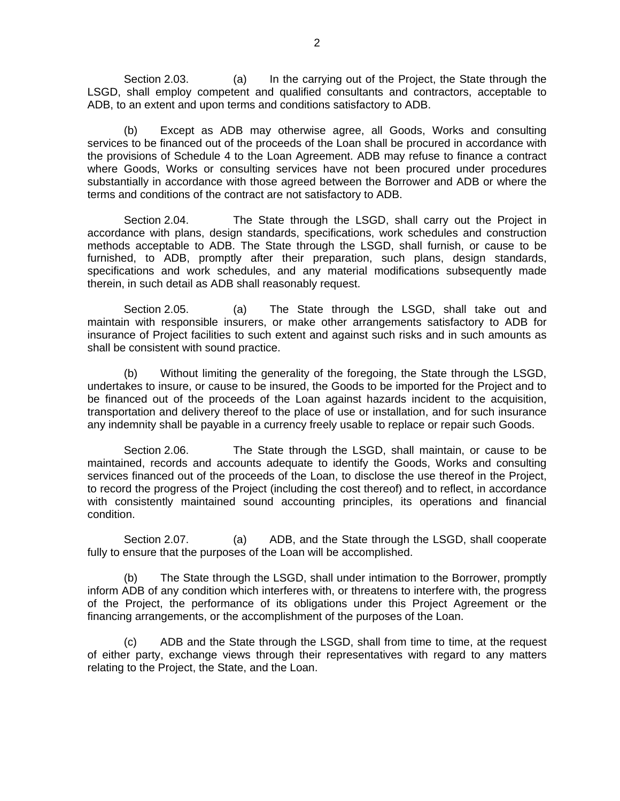Section 2.03. (a) In the carrying out of the Project, the State through the LSGD, shall employ competent and qualified consultants and contractors, acceptable to ADB, to an extent and upon terms and conditions satisfactory to ADB.

 (b) Except as ADB may otherwise agree, all Goods, Works and consulting services to be financed out of the proceeds of the Loan shall be procured in accordance with the provisions of Schedule 4 to the Loan Agreement. ADB may refuse to finance a contract where Goods, Works or consulting services have not been procured under procedures substantially in accordance with those agreed between the Borrower and ADB or where the terms and conditions of the contract are not satisfactory to ADB.

 Section 2.04. The State through the LSGD, shall carry out the Project in accordance with plans, design standards, specifications, work schedules and construction methods acceptable to ADB. The State through the LSGD, shall furnish, or cause to be furnished, to ADB, promptly after their preparation, such plans, design standards, specifications and work schedules, and any material modifications subsequently made therein, in such detail as ADB shall reasonably request.

 Section 2.05. (a) The State through the LSGD, shall take out and maintain with responsible insurers, or make other arrangements satisfactory to ADB for insurance of Project facilities to such extent and against such risks and in such amounts as shall be consistent with sound practice.

 (b) Without limiting the generality of the foregoing, the State through the LSGD, undertakes to insure, or cause to be insured, the Goods to be imported for the Project and to be financed out of the proceeds of the Loan against hazards incident to the acquisition, transportation and delivery thereof to the place of use or installation, and for such insurance any indemnity shall be payable in a currency freely usable to replace or repair such Goods.

Section 2.06. The State through the LSGD, shall maintain, or cause to be maintained, records and accounts adequate to identify the Goods, Works and consulting services financed out of the proceeds of the Loan, to disclose the use thereof in the Project, to record the progress of the Project (including the cost thereof) and to reflect, in accordance with consistently maintained sound accounting principles, its operations and financial condition.

Section 2.07. (a) ADB, and the State through the LSGD, shall cooperate fully to ensure that the purposes of the Loan will be accomplished.

 (b) The State through the LSGD, shall under intimation to the Borrower, promptly inform ADB of any condition which interferes with, or threatens to interfere with, the progress of the Project, the performance of its obligations under this Project Agreement or the financing arrangements, or the accomplishment of the purposes of the Loan.

 (c) ADB and the State through the LSGD, shall from time to time, at the request of either party, exchange views through their representatives with regard to any matters relating to the Project, the State, and the Loan.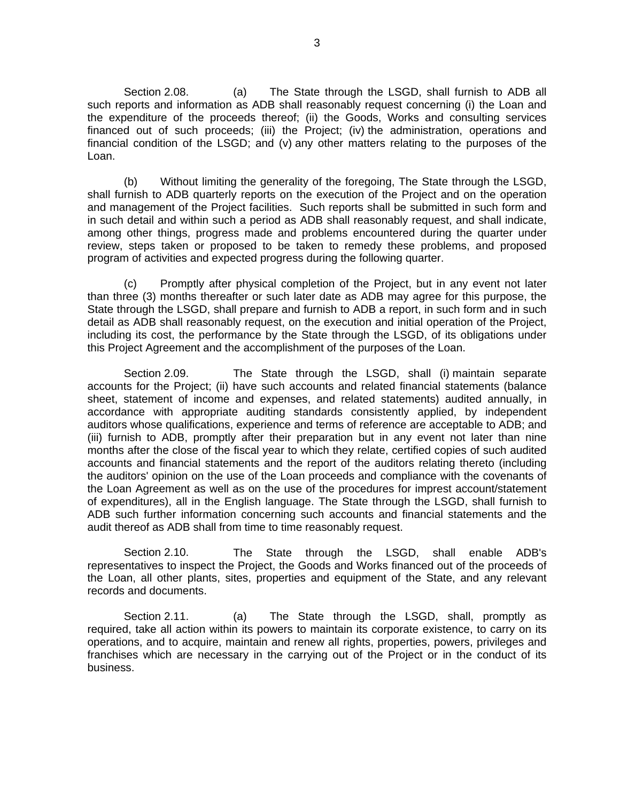Section 2.08. (a) The State through the LSGD, shall furnish to ADB all such reports and information as ADB shall reasonably request concerning (i) the Loan and the expenditure of the proceeds thereof; (ii) the Goods, Works and consulting services financed out of such proceeds; (iii) the Project; (iv) the administration, operations and financial condition of the LSGD; and (v) any other matters relating to the purposes of the Loan.

 (b) Without limiting the generality of the foregoing, The State through the LSGD, shall furnish to ADB quarterly reports on the execution of the Project and on the operation and management of the Project facilities. Such reports shall be submitted in such form and in such detail and within such a period as ADB shall reasonably request, and shall indicate, among other things, progress made and problems encountered during the quarter under review, steps taken or proposed to be taken to remedy these problems, and proposed program of activities and expected progress during the following quarter.

 (c) Promptly after physical completion of the Project, but in any event not later than three (3) months thereafter or such later date as ADB may agree for this purpose, the State through the LSGD, shall prepare and furnish to ADB a report, in such form and in such detail as ADB shall reasonably request, on the execution and initial operation of the Project, including its cost, the performance by the State through the LSGD, of its obligations under this Project Agreement and the accomplishment of the purposes of the Loan.

 Section 2.09. The State through the LSGD, shall (i) maintain separate accounts for the Project; (ii) have such accounts and related financial statements (balance sheet, statement of income and expenses, and related statements) audited annually, in accordance with appropriate auditing standards consistently applied, by independent auditors whose qualifications, experience and terms of reference are acceptable to ADB; and (iii) furnish to ADB, promptly after their preparation but in any event not later than nine months after the close of the fiscal year to which they relate, certified copies of such audited accounts and financial statements and the report of the auditors relating thereto (including the auditors' opinion on the use of the Loan proceeds and compliance with the covenants of the Loan Agreement as well as on the use of the procedures for imprest account/statement of expenditures), all in the English language. The State through the LSGD, shall furnish to ADB such further information concerning such accounts and financial statements and the audit thereof as ADB shall from time to time reasonably request.

 Section 2.10. The State through the LSGD, shall enable ADB's representatives to inspect the Project, the Goods and Works financed out of the proceeds of the Loan, all other plants, sites, properties and equipment of the State, and any relevant records and documents.

Section 2.11. (a) The State through the LSGD, shall, promptly as required, take all action within its powers to maintain its corporate existence, to carry on its operations, and to acquire, maintain and renew all rights, properties, powers, privileges and franchises which are necessary in the carrying out of the Project or in the conduct of its business.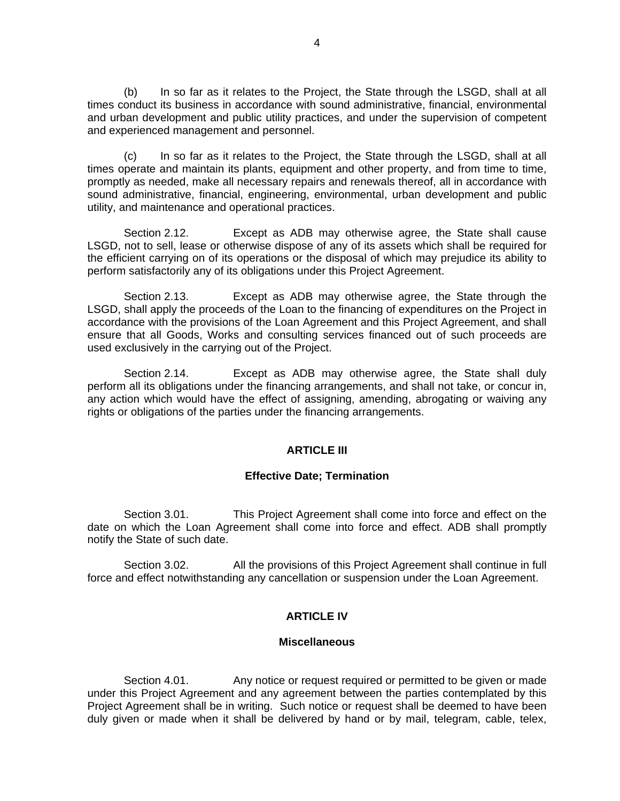(b) In so far as it relates to the Project, the State through the LSGD, shall at all times conduct its business in accordance with sound administrative, financial, environmental and urban development and public utility practices, and under the supervision of competent and experienced management and personnel.

 (c) In so far as it relates to the Project, the State through the LSGD, shall at all times operate and maintain its plants, equipment and other property, and from time to time, promptly as needed, make all necessary repairs and renewals thereof, all in accordance with sound administrative, financial, engineering, environmental, urban development and public utility, and maintenance and operational practices.

 Section 2.12. Except as ADB may otherwise agree, the State shall cause LSGD, not to sell, lease or otherwise dispose of any of its assets which shall be required for the efficient carrying on of its operations or the disposal of which may prejudice its ability to perform satisfactorily any of its obligations under this Project Agreement.

 Section 2.13. Except as ADB may otherwise agree, the State through the LSGD, shall apply the proceeds of the Loan to the financing of expenditures on the Project in accordance with the provisions of the Loan Agreement and this Project Agreement, and shall ensure that all Goods, Works and consulting services financed out of such proceeds are used exclusively in the carrying out of the Project.

 Section 2.14. Except as ADB may otherwise agree, the State shall duly perform all its obligations under the financing arrangements, and shall not take, or concur in, any action which would have the effect of assigning, amending, abrogating or waiving any rights or obligations of the parties under the financing arrangements.

#### **ARTICLE III**

#### **Effective Date; Termination**

Section 3.01. This Project Agreement shall come into force and effect on the date on which the Loan Agreement shall come into force and effect. ADB shall promptly notify the State of such date.

Section 3.02. All the provisions of this Project Agreement shall continue in full force and effect notwithstanding any cancellation or suspension under the Loan Agreement.

#### **ARTICLE IV**

#### **Miscellaneous**

Section 4.01. Any notice or request required or permitted to be given or made under this Project Agreement and any agreement between the parties contemplated by this Project Agreement shall be in writing. Such notice or request shall be deemed to have been duly given or made when it shall be delivered by hand or by mail, telegram, cable, telex,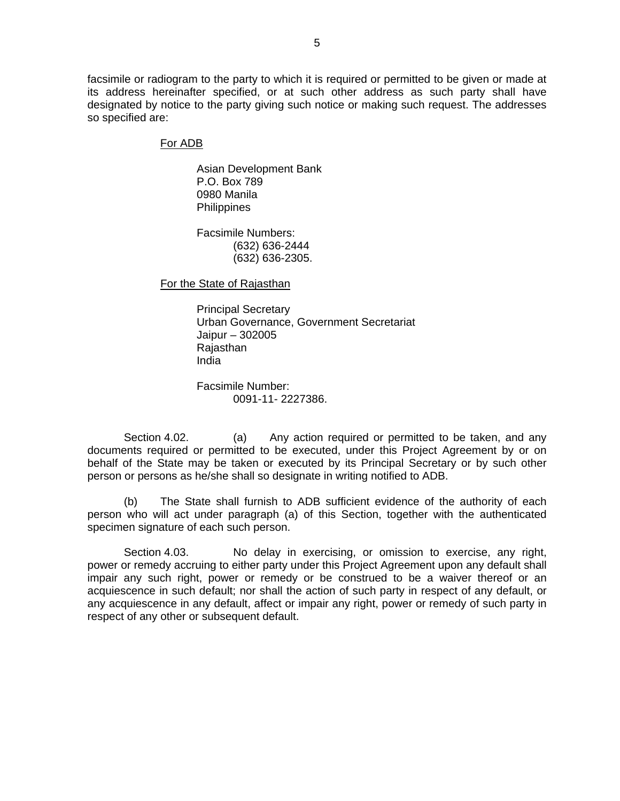facsimile or radiogram to the party to which it is required or permitted to be given or made at its address hereinafter specified, or at such other address as such party shall have designated by notice to the party giving such notice or making such request. The addresses so specified are:

#### For ADB

Asian Development Bank P.O. Box 789 0980 Manila **Philippines** 

Facsimile Numbers: (632) 636-2444 (632) 636-2305.

For the State of Rajasthan

 Principal Secretary Urban Governance, Government Secretariat Jaipur – 302005 **Rajasthan** India

 Facsimile Number: 0091-11- 2227386.

Section 4.02. (a) Any action required or permitted to be taken, and any documents required or permitted to be executed, under this Project Agreement by or on behalf of the State may be taken or executed by its Principal Secretary or by such other person or persons as he/she shall so designate in writing notified to ADB.

 (b) The State shall furnish to ADB sufficient evidence of the authority of each person who will act under paragraph (a) of this Section, together with the authenticated specimen signature of each such person.

Section 4.03. No delay in exercising, or omission to exercise, any right, power or remedy accruing to either party under this Project Agreement upon any default shall impair any such right, power or remedy or be construed to be a waiver thereof or an acquiescence in such default; nor shall the action of such party in respect of any default, or any acquiescence in any default, affect or impair any right, power or remedy of such party in respect of any other or subsequent default.